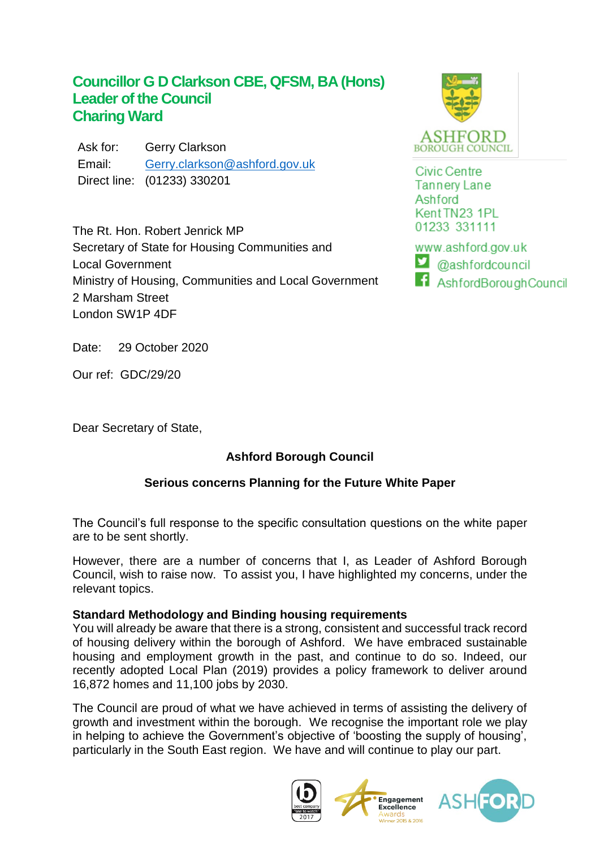# **Councillor G D Clarkson CBE, QFSM, BA (Hons) Leader of the Council Charing Ward**

Ask for: Gerry Clarkson Email: [Gerry.clarkson@ashford.gov.uk](mailto:Gerry.clarkson@ashford.gov.uk) Direct line: (01233) 330201

The Rt. Hon. Robert Jenrick MP Secretary of State for Housing Communities and Local Government Ministry of Housing, Communities and Local Government 2 Marsham Street London SW1P 4DF



**Civic Centre Tannery Lane** Ashford Kent TN23 1PL 01233 331111

www.ashford.gov.uk  $\Box$  @ashfordcouncil f AshfordBoroughCouncil

Date: 29 October 2020

Our ref: GDC/29/20

Dear Secretary of State,

## **Ashford Borough Council**

## **Serious concerns Planning for the Future White Paper**

The Council's full response to the specific consultation questions on the white paper are to be sent shortly.

However, there are a number of concerns that I, as Leader of Ashford Borough Council, wish to raise now. To assist you, I have highlighted my concerns, under the relevant topics.

### **Standard Methodology and Binding housing requirements**

You will already be aware that there is a strong, consistent and successful track record of housing delivery within the borough of Ashford. We have embraced sustainable housing and employment growth in the past, and continue to do so. Indeed, our recently adopted Local Plan (2019) provides a policy framework to deliver around 16,872 homes and 11,100 jobs by 2030.

The Council are proud of what we have achieved in terms of assisting the delivery of growth and investment within the borough. We recognise the important role we play in helping to achieve the Government's objective of 'boosting the supply of housing', particularly in the South East region. We have and will continue to play our part.

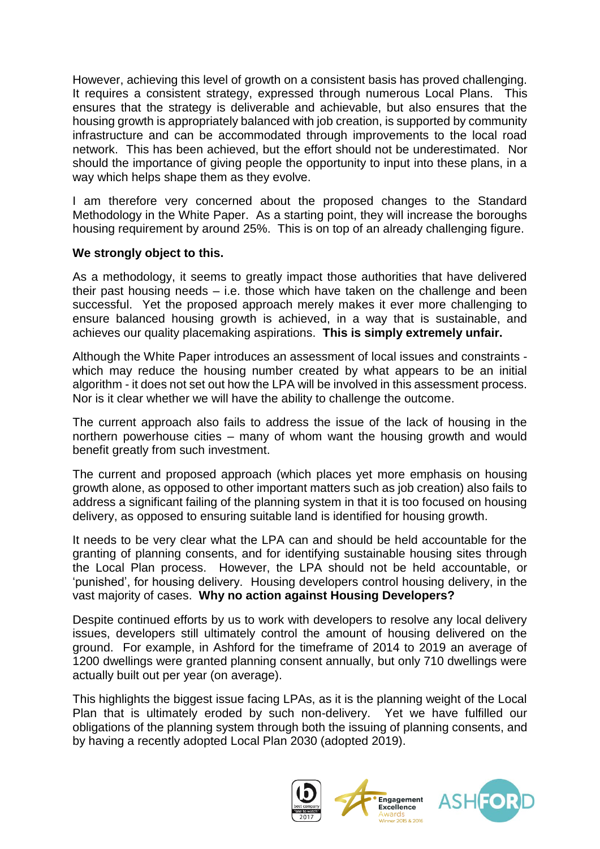However, achieving this level of growth on a consistent basis has proved challenging. It requires a consistent strategy, expressed through numerous Local Plans. This ensures that the strategy is deliverable and achievable, but also ensures that the housing growth is appropriately balanced with job creation, is supported by community infrastructure and can be accommodated through improvements to the local road network. This has been achieved, but the effort should not be underestimated. Nor should the importance of giving people the opportunity to input into these plans, in a way which helps shape them as they evolve.

I am therefore very concerned about the proposed changes to the Standard Methodology in the White Paper. As a starting point, they will increase the boroughs housing requirement by around 25%. This is on top of an already challenging figure.

#### **We strongly object to this.**

As a methodology, it seems to greatly impact those authorities that have delivered their past housing needs – i.e. those which have taken on the challenge and been successful. Yet the proposed approach merely makes it ever more challenging to ensure balanced housing growth is achieved, in a way that is sustainable, and achieves our quality placemaking aspirations. **This is simply extremely unfair.** 

Although the White Paper introduces an assessment of local issues and constraints which may reduce the housing number created by what appears to be an initial algorithm - it does not set out how the LPA will be involved in this assessment process. Nor is it clear whether we will have the ability to challenge the outcome.

The current approach also fails to address the issue of the lack of housing in the northern powerhouse cities – many of whom want the housing growth and would benefit greatly from such investment.

The current and proposed approach (which places yet more emphasis on housing growth alone, as opposed to other important matters such as job creation) also fails to address a significant failing of the planning system in that it is too focused on housing delivery, as opposed to ensuring suitable land is identified for housing growth.

It needs to be very clear what the LPA can and should be held accountable for the granting of planning consents, and for identifying sustainable housing sites through the Local Plan process. However, the LPA should not be held accountable, or 'punished', for housing delivery. Housing developers control housing delivery, in the vast majority of cases. **Why no action against Housing Developers?**

Despite continued efforts by us to work with developers to resolve any local delivery issues, developers still ultimately control the amount of housing delivered on the ground. For example, in Ashford for the timeframe of 2014 to 2019 an average of 1200 dwellings were granted planning consent annually, but only 710 dwellings were actually built out per year (on average).

This highlights the biggest issue facing LPAs, as it is the planning weight of the Local Plan that is ultimately eroded by such non-delivery. Yet we have fulfilled our obligations of the planning system through both the issuing of planning consents, and by having a recently adopted Local Plan 2030 (adopted 2019).

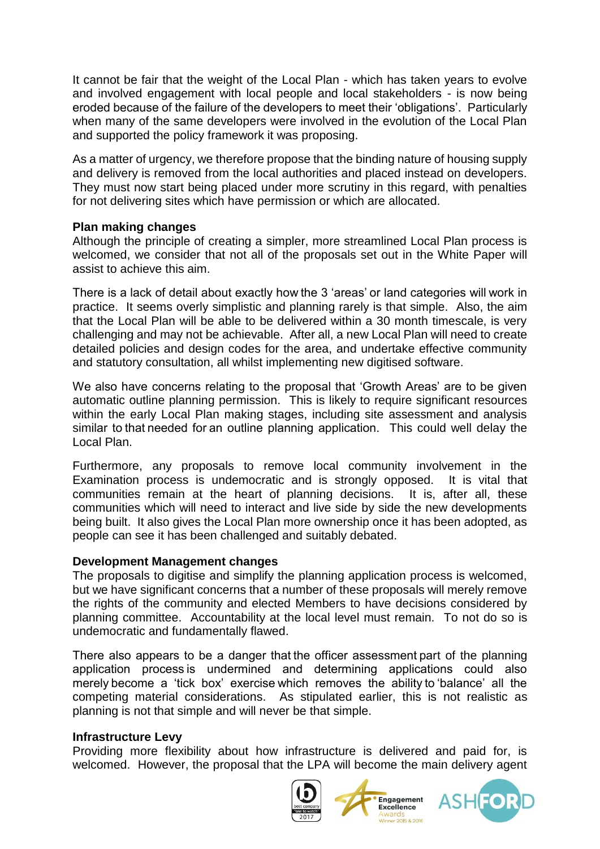It cannot be fair that the weight of the Local Plan - which has taken years to evolve and involved engagement with local people and local stakeholders - is now being eroded because of the failure of the developers to meet their 'obligations'. Particularly when many of the same developers were involved in the evolution of the Local Plan and supported the policy framework it was proposing.

As a matter of urgency, we therefore propose that the binding nature of housing supply and delivery is removed from the local authorities and placed instead on developers. They must now start being placed under more scrutiny in this regard, with penalties for not delivering sites which have permission or which are allocated.

#### **Plan making changes**

Although the principle of creating a simpler, more streamlined Local Plan process is welcomed, we consider that not all of the proposals set out in the White Paper will assist to achieve this aim.

There is a lack of detail about exactly how the 3 'areas' or land categories will work in practice. It seems overly simplistic and planning rarely is that simple. Also, the aim that the Local Plan will be able to be delivered within a 30 month timescale, is very challenging and may not be achievable. After all, a new Local Plan will need to create detailed policies and design codes for the area, and undertake effective community and statutory consultation, all whilst implementing new digitised software.

We also have concerns relating to the proposal that 'Growth Areas' are to be given automatic outline planning permission. This is likely to require significant resources within the early Local Plan making stages, including site assessment and analysis similar to that needed for an outline planning application. This could well delay the Local Plan.

Furthermore, any proposals to remove local community involvement in the Examination process is undemocratic and is strongly opposed. It is vital that communities remain at the heart of planning decisions. It is, after all, these communities which will need to interact and live side by side the new developments being built. It also gives the Local Plan more ownership once it has been adopted, as people can see it has been challenged and suitably debated.

#### **Development Management changes**

The proposals to digitise and simplify the planning application process is welcomed, but we have significant concerns that a number of these proposals will merely remove the rights of the community and elected Members to have decisions considered by planning committee. Accountability at the local level must remain. To not do so is undemocratic and fundamentally flawed.

There also appears to be a danger that the officer assessment part of the planning application process is undermined and determining applications could also merely become a 'tick box' exercise which removes the ability to 'balance' all the competing material considerations. As stipulated earlier, this is not realistic as planning is not that simple and will never be that simple.

#### **Infrastructure Levy**

Providing more flexibility about how infrastructure is delivered and paid for, is welcomed. However, the proposal that the LPA will become the main delivery agent



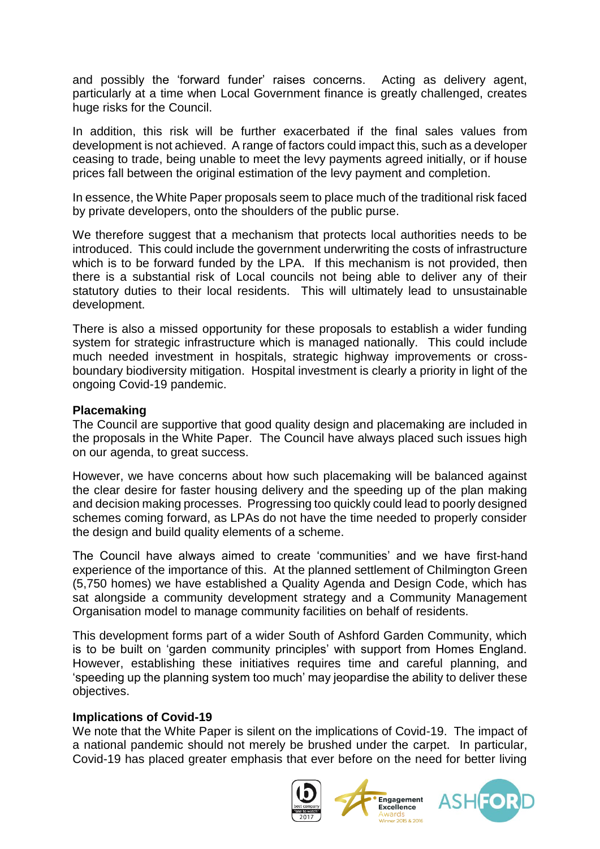and possibly the 'forward funder' raises concerns. Acting as delivery agent, particularly at a time when Local Government finance is greatly challenged, creates huge risks for the Council.

In addition, this risk will be further exacerbated if the final sales values from development is not achieved. A range of factors could impact this, such as a developer ceasing to trade, being unable to meet the levy payments agreed initially, or if house prices fall between the original estimation of the levy payment and completion.

In essence, the White Paper proposals seem to place much of the traditional risk faced by private developers, onto the shoulders of the public purse.

We therefore suggest that a mechanism that protects local authorities needs to be introduced. This could include the government underwriting the costs of infrastructure which is to be forward funded by the LPA. If this mechanism is not provided, then there is a substantial risk of Local councils not being able to deliver any of their statutory duties to their local residents. This will ultimately lead to unsustainable development.

There is also a missed opportunity for these proposals to establish a wider funding system for strategic infrastructure which is managed nationally. This could include much needed investment in hospitals, strategic highway improvements or crossboundary biodiversity mitigation. Hospital investment is clearly a priority in light of the ongoing Covid-19 pandemic.

#### **Placemaking**

The Council are supportive that good quality design and placemaking are included in the proposals in the White Paper. The Council have always placed such issues high on our agenda, to great success.

However, we have concerns about how such placemaking will be balanced against the clear desire for faster housing delivery and the speeding up of the plan making and decision making processes. Progressing too quickly could lead to poorly designed schemes coming forward, as LPAs do not have the time needed to properly consider the design and build quality elements of a scheme.

The Council have always aimed to create 'communities' and we have first-hand experience of the importance of this. At the planned settlement of Chilmington Green (5,750 homes) we have established a Quality Agenda and Design Code, which has sat alongside a community development strategy and a Community Management Organisation model to manage community facilities on behalf of residents.

This development forms part of a wider South of Ashford Garden Community, which is to be built on 'garden community principles' with support from Homes England. However, establishing these initiatives requires time and careful planning, and 'speeding up the planning system too much' may jeopardise the ability to deliver these objectives.

#### **Implications of Covid-19**

We note that the White Paper is silent on the implications of Covid-19. The impact of a national pandemic should not merely be brushed under the carpet. In particular, Covid-19 has placed greater emphasis that ever before on the need for better living